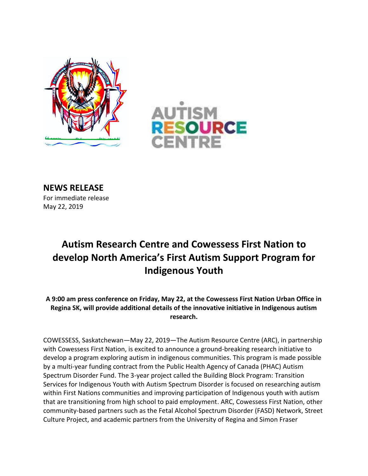



**NEWS RELEASE** For immediate release May 22, 2019

## **Autism Research Centre and Cowessess First Nation to develop North America's First Autism Support Program for Indigenous Youth**

**A 9:00 am press conference on Friday, May 22, at the Cowessess First Nation Urban Office in Regina SK, will provide additional details of the innovative initiative in Indigenous autism research.**

COWESSESS, Saskatchewan—May 22, 2019—The Autism Resource Centre (ARC), in partnership with Cowessess First Nation, is excited to announce a ground-breaking research initiative to develop a program exploring autism in indigenous communities. This program is made possible by a multi-year funding contract from the Public Health Agency of Canada (PHAC) Autism Spectrum Disorder Fund. The 3-year project called the Building Block Program: Transition Services for Indigenous Youth with Autism Spectrum Disorder is focused on researching autism within First Nations communities and improving participation of Indigenous youth with autism that are transitioning from high school to paid employment. ARC, Cowessess First Nation, other community-based partners such as the Fetal Alcohol Spectrum Disorder (FASD) Network, Street Culture Project, and academic partners from the University of Regina and Simon Fraser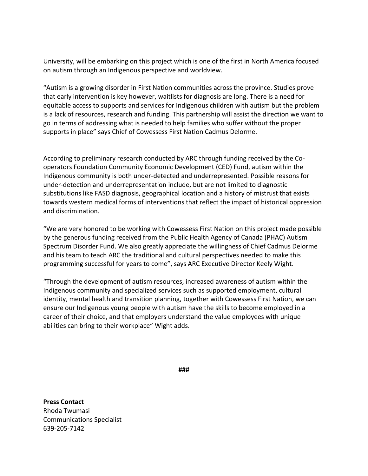University, will be embarking on this project which is one of the first in North America focused on autism through an Indigenous perspective and worldview.

"Autism is a growing disorder in First Nation communities across the province. Studies prove that early intervention is key however, waitlists for diagnosis are long. There is a need for equitable access to supports and services for Indigenous children with autism but the problem is a lack of resources, research and funding. This partnership will assist the direction we want to go in terms of addressing what is needed to help families who suffer without the proper supports in place" says Chief of Cowessess First Nation Cadmus Delorme.

According to preliminary research conducted by ARC through funding received by the Cooperators Foundation Community Economic Development (CED) Fund, autism within the Indigenous community is both under-detected and underrepresented. Possible reasons for under-detection and underrepresentation include, but are not limited to diagnostic substitutions like FASD diagnosis, geographical location and a history of mistrust that exists towards western medical forms of interventions that reflect the impact of historical oppression and discrimination.

"We are very honored to be working with Cowessess First Nation on this project made possible by the generous funding received from the Public Health Agency of Canada (PHAC) Autism Spectrum Disorder Fund. We also greatly appreciate the willingness of Chief Cadmus Delorme and his team to teach ARC the traditional and cultural perspectives needed to make this programming successful for years to come", says ARC Executive Director Keely Wight.

"Through the development of autism resources, increased awareness of autism within the Indigenous community and specialized services such as supported employment, cultural identity, mental health and transition planning, together with Cowessess First Nation, we can ensure our Indigenous young people with autism have the skills to become employed in a career of their choice, and that employers understand the value employees with unique abilities can bring to their workplace" Wight adds.

**###**

**Press Contact**  Rhoda Twumasi Communications Specialist 639-205-7142